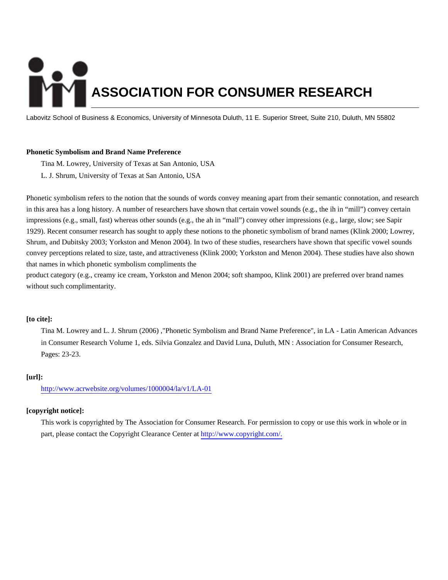# **ASSOCIATION FOR CONSUMER RESEARCH**

Labovitz School of Business & Economics, University of Minnesota Duluth, 11 E. Superior Street, Suite 210, Duluth, MN 55802

# **Phonetic Symbolism and Brand Name Preference**

Tina M. Lowrey, University of Texas at San Antonio, USA L. J. Shrum, University of Texas at San Antonio, USA

Phonetic symbolism refers to the notion that the sounds of words convey meaning apart from their semantic connotation, and research in this area has a long history. A number of researchers have shown that certain vowel sounds (e.g., the ih in "mill") convey certain impressions (e.g., small, fast) whereas other sounds (e.g., the ah in "mall") convey other impressions (e.g., large, slow; see Sapir 1929). Recent consumer research has sought to apply these notions to the phonetic symbolism of brand names (Klink 2000; Lowrey, Shrum, and Dubitsky 2003; Yorkston and Menon 2004). In two of these studies, researchers have shown that specific vowel sounds convey perceptions related to size, taste, and attractiveness (Klink 2000; Yorkston and Menon 2004). These studies have also shown that names in which phonetic symbolism compliments the

product category (e.g., creamy ice cream, Yorkston and Menon 2004; soft shampoo, Klink 2001) are preferred over brand names without such complimentarity.

# **[to cite]:**

Tina M. Lowrey and L. J. Shrum (2006) ,"Phonetic Symbolism and Brand Name Preference", in LA - Latin American Advances in Consumer Research Volume 1, eds. Silvia Gonzalez and David Luna, Duluth, MN : Association for Consumer Research, Pages: 23-23.

# **[url]:**

<http://www.acrwebsite.org/volumes/1000004/la/v1/LA-01>

# **[copyright notice]:**

This work is copyrighted by The Association for Consumer Research. For permission to copy or use this work in whole or in part, please contact the Copyright Clearance Center at [http://www.copyright.com/.](http://www.copyright.com/)